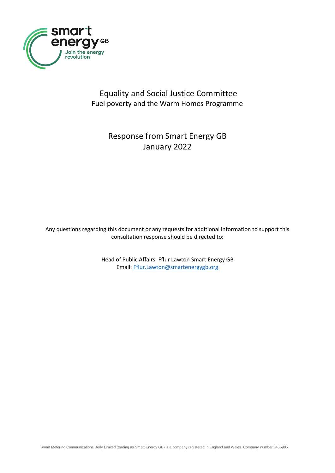

## Equality and Social Justice Committee Fuel poverty and the Warm Homes Programme

## Response from Smart Energy GB January 2022

Any questions regarding this document or any requests for additional information to support this consultation response should be directed to:

> Head of Public Affairs, Fflur Lawton Smart Energy GB Email: [Fflur.Lawton@smartenergygb.org](mailto:Fflur.Lawton@smartenergygb.org)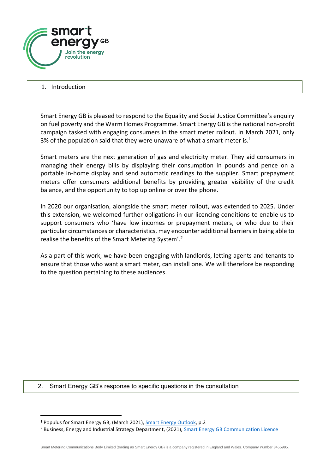

## 1. Introduction

Smart Energy GB is pleased to respond to the Equality and Social Justice Committee's enquiry on fuel poverty and the Warm Homes Programme. Smart Energy GB is the national non-profit campaign tasked with engaging consumers in the smart meter rollout. In March 2021, only 3% of the population said that they were unaware of what a smart meter is. $<sup>1</sup>$ </sup>

Smart meters are the next generation of gas and electricity meter. They aid consumers in managing their energy bills by displaying their consumption in pounds and pence on a portable in-home display and send automatic readings to the supplier. Smart prepayment meters offer consumers additional benefits by providing greater visibility of the credit balance, and the opportunity to top up online or over the phone.

In 2020 our organisation, alongside the smart meter rollout, was extended to 2025. Under this extension, we welcomed further obligations in our licencing conditions to enable us to support consumers who 'have low incomes or prepayment meters, or who due to their particular circumstances or characteristics, may encounter additional barriers in being able to realise the benefits of the Smart Metering System'.<sup>2</sup>

As a part of this work, we have been engaging with landlords, letting agents and tenants to ensure that those who want a smart meter, can install one. We will therefore be responding to the question pertaining to these audiences.

2. Smart Energy GB's response to specific questions in the consultation

<sup>1</sup> Populus for Smart Energy GB, (March 2021), [Smart Energy Outlook,](https://www.smartenergygb.org/media/3dkp32k1/smart-energy-outlook-2021.pdf) p.2

<sup>&</sup>lt;sup>2</sup> Business, Energy and Industrial Strategy Department, (2021), [Smart Energy GB Communication Licence](https://epr.ofgem.gov.uk/Content/Documents/Smart%20DCC%20Limited%20-%20Smart%20Meter%20Communication%20Consolidated%20Licence%20Conditions%20-%20Current%20Version.pdf)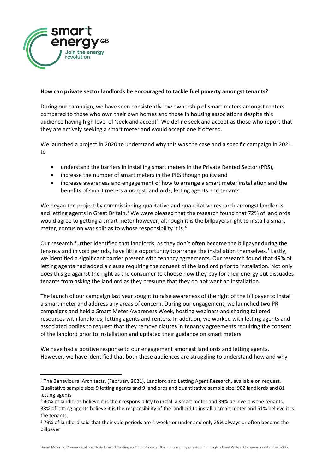

## **How can private sector landlords be encouraged to tackle fuel poverty amongst tenants?**

During our campaign, we have seen consistently low ownership of smart meters amongst renters compared to those who own their own homes and those in housing associations despite this audience having high level of 'seek and accept'. We define seek and accept as those who report that they are actively seeking a smart meter and would accept one if offered.

We launched a project in 2020 to understand why this was the case and a specific campaign in 2021 to

- understand the barriers in installing smart meters in the Private Rented Sector (PRS),
- increase the number of smart meters in the PRS though policy and
- increase awareness and engagement of how to arrange a smart meter installation and the benefits of smart meters amongst landlords, letting agents and tenants.

We began the project by commissioning qualitative and quantitative research amongst landlords and letting agents in Great Britain.<sup>3</sup> We were pleased that the research found that 72% of landlords would agree to getting a smart meter however, although it is the billpayers right to install a smart meter, confusion was split as to whose responsibility it is.<sup>4</sup>

Our research further identified that landlords, as they don't often become the billpayer during the tenancy and in void periods, have little opportunity to arrange the installation themselves.<sup>5</sup> Lastly, we identified a significant barrier present with tenancy agreements. Our research found that 49% of letting agents had added a clause requiring the consent of the landlord prior to installation. Not only does this go against the right as the consumer to choose how they pay for their energy but dissuades tenants from asking the landlord as they presume that they do not want an installation.

The launch of our campaign last year sought to raise awareness of the right of the billpayer to install a smart meter and address any areas of concern. During our engagement, we launched two PR campaigns and held a Smart Meter Awareness Week, hosting webinars and sharing tailored resources with landlords, letting agents and renters. In addition, we worked with letting agents and associated bodies to request that they remove clauses in tenancy agreements requiring the consent of the landlord prior to installation and updated their guidance on smart meters.

We have had a positive response to our engagement amongst landlords and letting agents. However, we have identified that both these audiences are struggling to understand how and why

Smart Metering Communications Body Limited (trading as Smart Energy GB) is a company registered in England and Wales. Company number 8455995.

<sup>&</sup>lt;sup>3</sup> The Behavioural Architects, (February 2021), Landlord and Letting Agent Research, available on request. Qualitative sample size: 9 letting agents and 9 landlords and quantitative sample size: 902 landlords and 81 letting agents

<sup>4</sup> 40% of landlords believe it is their responsibility to install a smart meter and 39% believe it is the tenants. 38% of letting agents believe it is the responsibility of the landlord to install a smart meter and 51% believe it is the tenants.

<sup>5</sup> 79% of landlord said that their void periods are 4 weeks or under and only 25% always or often become the billpayer